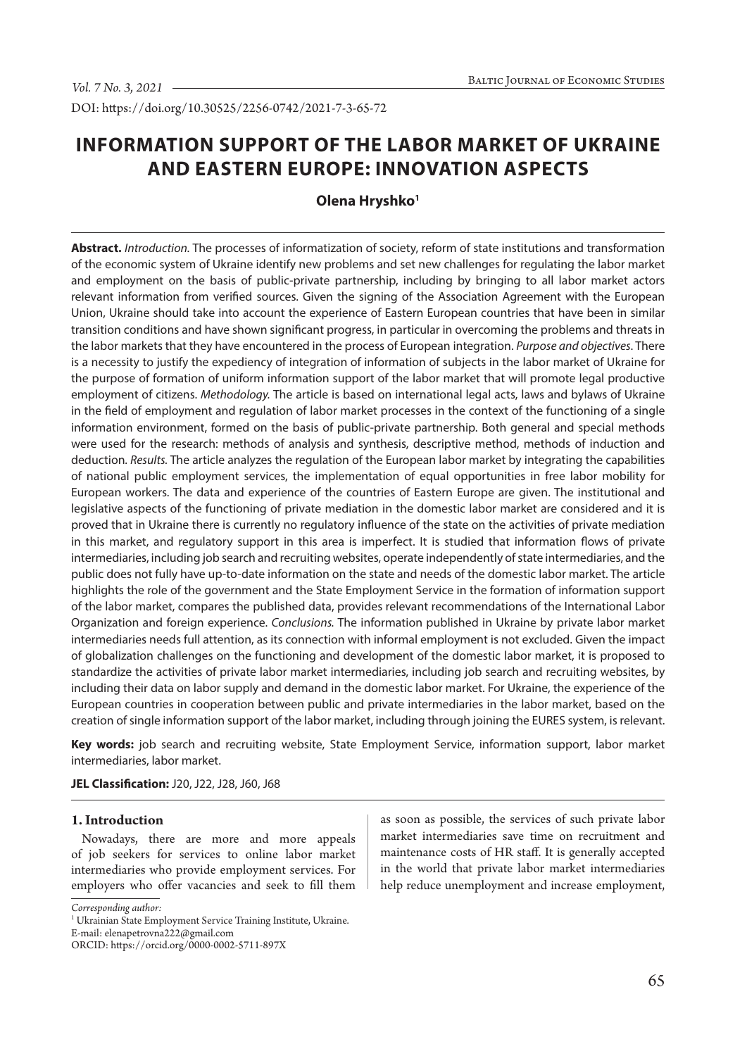DOI: https://doi.org/10.30525/2256-0742/2021-7-3-65-72

# **INFORMATION SUPPORT OF THE LABOR MARKET OF UKRAINE AND EASTERN EUROPE: INNOVATION ASPECTS**

# **Olena Hryshko<sup>1</sup>**

**Abstract.** *Introduction.* The processes of informatization of society, reform of state institutions and transformation of the economic system of Ukraine identify new problems and set new challenges for regulating the labor market and employment on the basis of public-private partnership, including by bringing to all labor market actors relevant information from verified sources. Given the signing of the Association Agreement with the European Union, Ukraine should take into account the experience of Eastern European countries that have been in similar transition conditions and have shown significant progress, in particular in overcoming the problems and threats in the labor markets that they have encountered in the process of European integration. *Purpose and objectives*. There is a necessity to justify the expediency of integration of information of subjects in the labor market of Ukraine for the purpose of formation of uniform information support of the labor market that will promote legal productive employment of citizens. *Methodology.* The article is based on international legal acts, laws and bylaws of Ukraine in the field of employment and regulation of labor market processes in the context of the functioning of a single information environment, formed on the basis of public-private partnership. Both general and special methods were used for the research: methods of analysis and synthesis, descriptive method, methods of induction and deduction*. Results.* The article analyzes the regulation of the European labor market by integrating the capabilities of national public employment services, the implementation of equal opportunities in free labor mobility for European workers. The data and experience of the countries of Eastern Europe are given. The institutional and legislative aspects of the functioning of private mediation in the domestic labor market are considered and it is proved that in Ukraine there is currently no regulatory influence of the state on the activities of private mediation in this market, and regulatory support in this area is imperfect. It is studied that information flows of private intermediaries, including job search and recruiting websites, operate independently of state intermediaries, and the public does not fully have up-to-date information on the state and needs of the domestic labor market. The article highlights the role of the government and the State Employment Service in the formation of information support of the labor market, compares the published data, provides relevant recommendations of the International Labor Organization and foreign experience. *Conclusions.* The information published in Ukraine by private labor market intermediaries needs full attention, as its connection with informal employment is not excluded. Given the impact of globalization challenges on the functioning and development of the domestic labor market, it is proposed to standardize the activities of private labor market intermediaries, including job search and recruiting websites, by including their data on labor supply and demand in the domestic labor market. For Ukraine, the experience of the European countries in cooperation between public and private intermediaries in the labor market, based on the creation of single information support of the labor market, including through joining the EURES system, is relevant.

**Key words:** job search and recruiting website, State Employment Service, information support, labor market intermediaries, labor market.

#### **JEL Classification:** J20, J22, J28, J60, J68

#### **1. Introduction**

Nowadays, there are more and more appeals of job seekers for services to online labor market intermediaries who provide employment services. For employers who offer vacancies and seek to fill them

as soon as possible, the services of such private labor market intermediaries save time on recruitment and maintenance costs of HR staff. It is generally accepted in the world that private labor market intermediaries help reduce unemployment and increase employment,

*Corresponding author:*

<sup>&</sup>lt;sup>1</sup> Ukrainian State Employment Service Training Institute, Ukraine. E-mail: elenapetrovna222@gmail.com

ORCID: https://orcid.org/0000-0002-5711-897X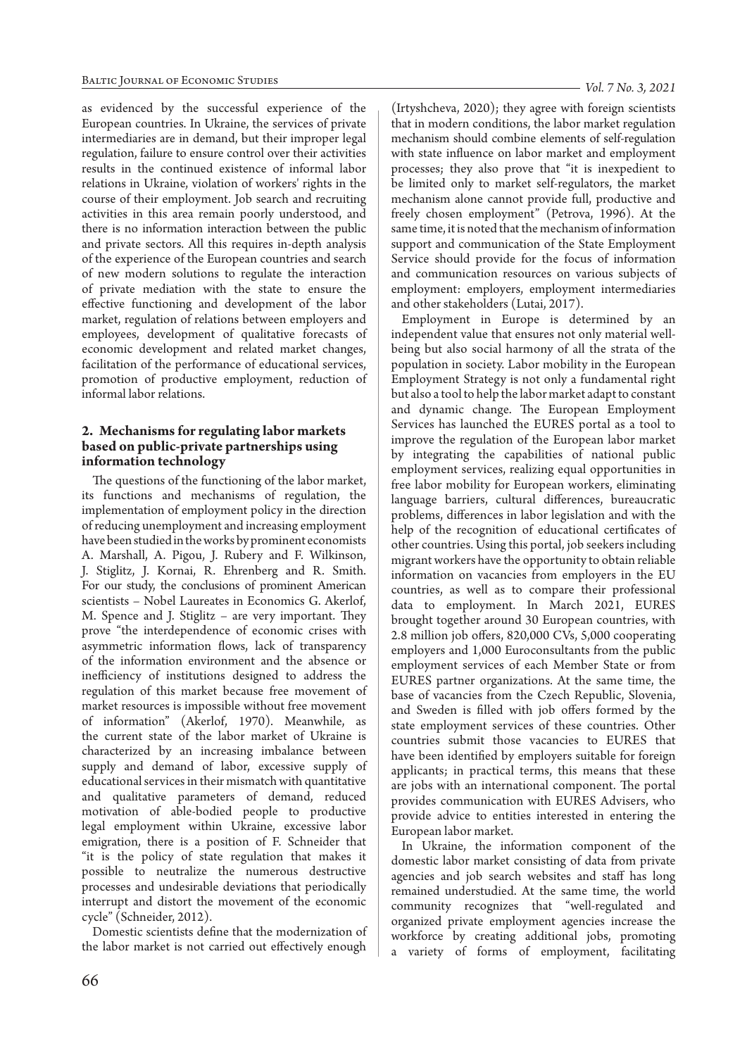as evidenced by the successful experience of the European countries. In Ukraine, the services of private intermediaries are in demand, but their improper legal regulation, failure to ensure control over their activities results in the continued existence of informal labor relations in Ukraine, violation of workers' rights in the course of their employment. Job search and recruiting activities in this area remain poorly understood, and there is no information interaction between the public and private sectors. All this requires in-depth analysis of the experience of the European countries and search of new modern solutions to regulate the interaction of private mediation with the state to ensure the effective functioning and development of the labor market, regulation of relations between employers and employees, development of qualitative forecasts of economic development and related market changes, facilitation of the performance of educational services, promotion of productive employment, reduction of informal labor relations.

## **2. Mechanisms for regulating labor markets based on public-private partnerships using information technology**

The questions of the functioning of the labor market, its functions and mechanisms of regulation, the implementation of employment policy in the direction of reducing unemployment and increasing employment have been studied in the works by prominent economists A. Marshall, A. Pigou, J. Rubery and F. Wilkinson, J. Stiglitz, J. Kornai, R. Ehrenberg and R. Smith. For our study, the conclusions of prominent American scientists – Nobel Laureates in Economics G. Akerlof, M. Spence and J. Stiglitz – are very important. They prove "the interdependence of economic crises with asymmetric information flows, lack of transparency of the information environment and the absence or inefficiency of institutions designed to address the regulation of this market because free movement of market resources is impossible without free movement of information" (Akerlof, 1970). Meanwhile, as the current state of the labor market of Ukraine is characterized by an increasing imbalance between supply and demand of labor, excessive supply of educational services in their mismatch with quantitative and qualitative parameters of demand, reduced motivation of able-bodied people to productive legal employment within Ukraine, excessive labor emigration, there is a position of F. Schneider that "it is the policy of state regulation that makes it possible to neutralize the numerous destructive processes and undesirable deviations that periodically interrupt and distort the movement of the economic cycle" (Schneider, 2012).

Domestic scientists define that the modernization of the labor market is not carried out effectively enough

(Irtyshcheva, 2020); they agree with foreign scientists that in modern conditions, the labor market regulation mechanism should combine elements of self-regulation with state influence on labor market and employment processes; they also prove that "it is inexpedient to be limited only to market self-regulators, the market mechanism alone cannot provide full, productive and freely chosen employment" (Petrova, 1996). At the same time, it is noted that the mechanism of information support and communication of the State Employment Service should provide for the focus of information and communication resources on various subjects of employment: employers, employment intermediaries and other stakeholders (Lutai, 2017).

Employment in Europe is determined by an independent value that ensures not only material wellbeing but also social harmony of all the strata of the population in society. Labor mobility in the European Employment Strategy is not only a fundamental right but also a tool to help the labor market adapt to constant and dynamic change. The European Employment Services has launched the EURES portal as a tool to improve the regulation of the European labor market by integrating the capabilities of national public employment services, realizing equal opportunities in free labor mobility for European workers, eliminating language barriers, cultural differences, bureaucratic problems, differences in labor legislation and with the help of the recognition of educational certificates of other countries. Using this portal, job seekers including migrant workers have the opportunity to obtain reliable information on vacancies from employers in the EU countries, as well as to compare their professional data to employment. In March 2021, EURES brought together around 30 European countries, with 2.8 million job offers, 820,000 CVs, 5,000 cooperating employers and 1,000 Euroconsultants from the public employment services of each Member State or from EURES partner organizations. At the same time, the base of vacancies from the Czech Republic, Slovenia, and Sweden is filled with job offers formed by the state employment services of these countries. Other countries submit those vacancies to EURES that have been identified by employers suitable for foreign applicants; in practical terms, this means that these are jobs with an international component. The portal provides communication with EURES Advisers, who provide advice to entities interested in entering the European labor market.

In Ukraine, the information component of the domestic labor market consisting of data from private agencies and job search websites and staff has long remained understudied. At the same time, the world community recognizes that "well-regulated and organized private employment agencies increase the workforce by creating additional jobs, promoting a variety of forms of employment, facilitating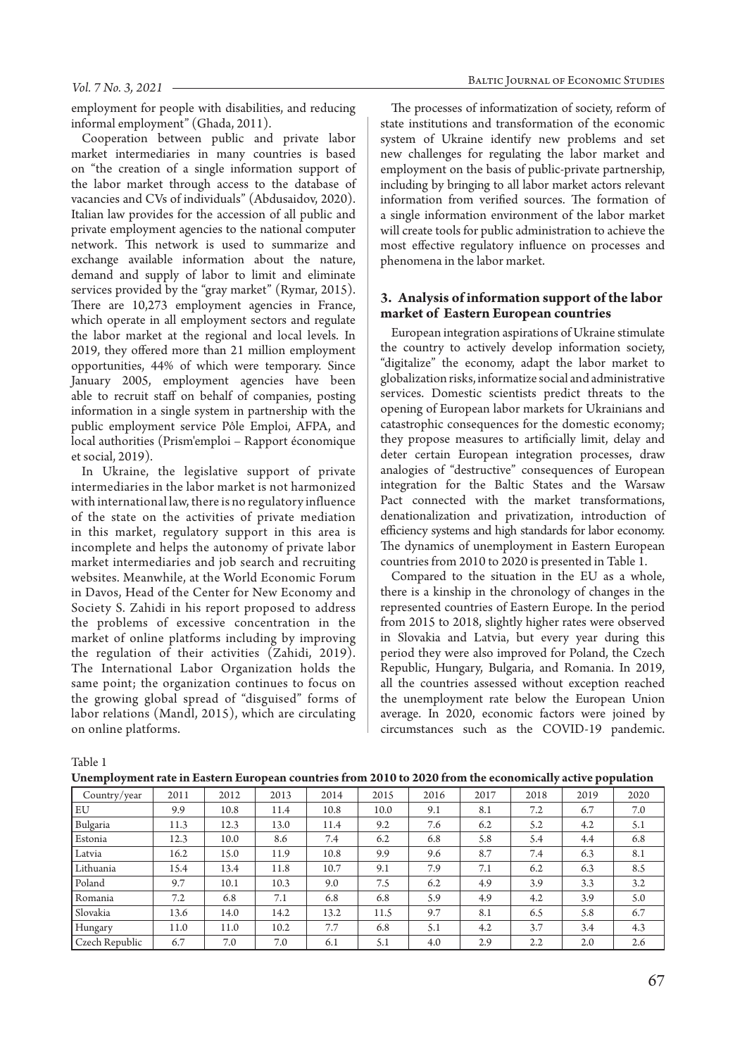employment for people with disabilities, and reducing informal employment" (Ghada, 2011).

Cooperation between public and private labor market intermediaries in many countries is based on "the creation of a single information support of the labor market through access to the database of vacancies and CVs of individuals" (Abdusaidov, 2020). Italian law provides for the accession of all public and private employment agencies to the national computer network. This network is used to summarize and exchange available information about the nature, demand and supply of labor to limit and eliminate services provided by the "gray market" (Rymar, 2015). There are 10,273 employment agencies in France, which operate in all employment sectors and regulate the labor market at the regional and local levels. In 2019, they offered more than 21 million employment opportunities, 44% of which were temporary. Since January 2005, employment agencies have been able to recruit staff on behalf of companies, posting information in a single system in partnership with the public employment service Pôle Emploi, AFPA, and local authorities (Prism'emploi – Rapport économique et social, 2019).

In Ukraine, the legislative support of private intermediaries in the labor market is not harmonized with international law, there is no regulatory influence of the state on the activities of private mediation in this market, regulatory support in this area is incomplete and helps the autonomy of private labor market intermediaries and job search and recruiting websites. Meanwhile, at the World Economic Forum in Davos, Head of the Center for New Economy and Society S. Zahidi in his report proposed to address the problems of excessive concentration in the market of online platforms including by improving the regulation of their activities (Zahidi, 2019). The International Labor Organization holds the same point; the organization continues to focus on the growing global spread of "disguised" forms of labor relations (Mandl, 2015), which are circulating on online platforms.

The processes of informatization of society, reform of state institutions and transformation of the economic system of Ukraine identify new problems and set new challenges for regulating the labor market and employment on the basis of public-private partnership, including by bringing to all labor market actors relevant information from verified sources. The formation of a single information environment of the labor market will create tools for public administration to achieve the most effective regulatory influence on processes and phenomena in the labor market.

#### **3. Analysis of information support of the labor market of Eastern European countries**

European integration aspirations of Ukraine stimulate the country to actively develop information society, "digitalize" the economy, adapt the labor market to globalization risks, informatize social and administrative services. Domestic scientists predict threats to the opening of European labor markets for Ukrainians and catastrophic consequences for the domestic economy; they propose measures to artificially limit, delay and deter certain European integration processes, draw analogies of "destructive" consequences of European integration for the Baltic States and the Warsaw Pact connected with the market transformations, denationalization and privatization, introduction of efficiency systems and high standards for labor economy. The dynamics of unemployment in Eastern European countries from 2010 to 2020 is presented in Table 1.

Compared to the situation in the EU as a whole, there is a kinship in the chronology of changes in the represented countries of Eastern Europe. In the period from 2015 to 2018, slightly higher rates were observed in Slovakia and Latvia, but every year during this period they were also improved for Poland, the Czech Republic, Hungary, Bulgaria, and Romania. In 2019, all the countries assessed without exception reached the unemployment rate below the European Union average. In 2020, economic factors were joined by circumstances such as the COVID-19 pandemic.

Table 1

|                |      |      | -    |      |      |      |      |      | . .  |      |
|----------------|------|------|------|------|------|------|------|------|------|------|
| Country/year   | 2011 | 2012 | 2013 | 2014 | 2015 | 2016 | 2017 | 2018 | 2019 | 2020 |
| <b>EU</b>      | 9.9  | 10.8 | 11.4 | 10.8 | 10.0 | 9.1  | 8.1  | 7.2  | 6.7  | 7.0  |
| Bulgaria       | 11.3 | 12.3 | 13.0 | 11.4 | 9.2  | 7.6  | 6.2  | 5.2  | 4.2  | 5.1  |
| <b>Estonia</b> | 12.3 | 10.0 | 8.6  | 7.4  | 6.2  | 6.8  | 5.8  | 5.4  | 4.4  | 6.8  |
| Latvia         | 16.2 | 15.0 | 11.9 | 10.8 | 9.9  | 9.6  | 8.7  | 7.4  | 6.3  | 8.1  |
| Lithuania      | 15.4 | 13.4 | 11.8 | 10.7 | 9.1  | 7.9  | 7.1  | 6.2  | 6.3  | 8.5  |
| Poland         | 9.7  | 10.1 | 10.3 | 9.0  | 7.5  | 6.2  | 4.9  | 3.9  | 3.3  | 3.2  |
| Romania        | 7.2  | 6.8  | 7.1  | 6.8  | 6.8  | 5.9  | 4.9  | 4.2  | 3.9  | 5.0  |
| Slovakia       | 13.6 | 14.0 | 14.2 | 13.2 | 11.5 | 9.7  | 8.1  | 6.5  | 5.8  | 6.7  |
| Hungary        | 11.0 | 11.0 | 10.2 | 7.7  | 6.8  | 5.1  | 4.2  | 3.7  | 3.4  | 4.3  |
| Czech Republic | 6.7  | 7.0  | 7.0  | 6.1  | 5.1  | 4.0  | 2.9  | 2.2  | 2.0  | 2.6  |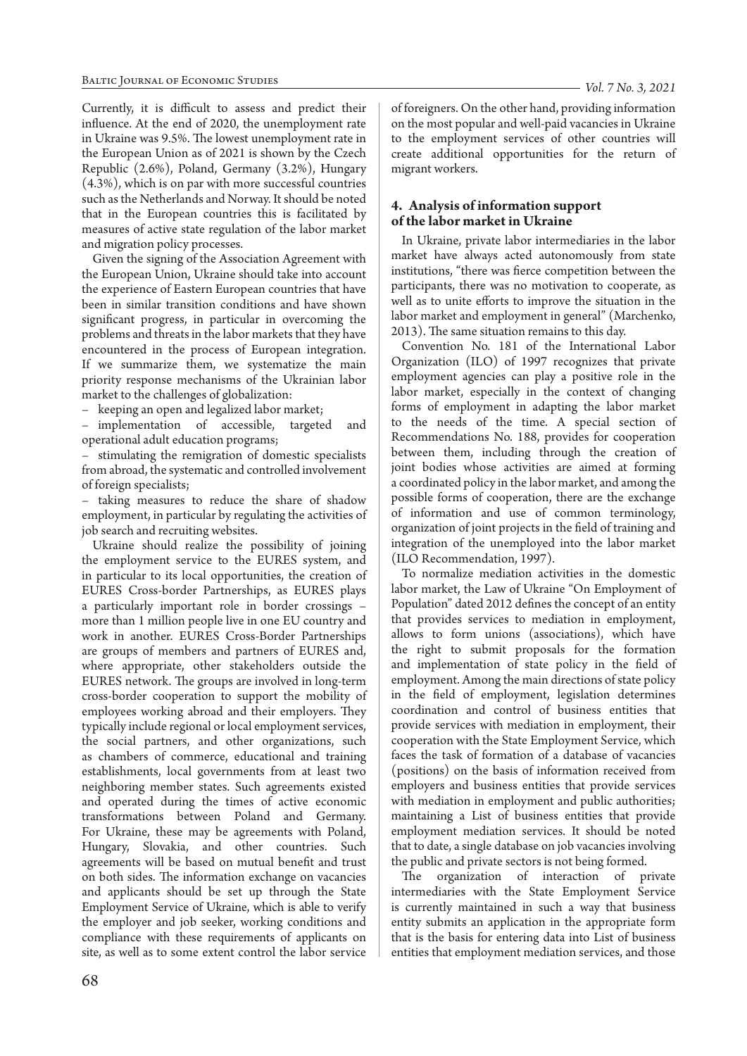Currently, it is difficult to assess and predict their influence. At the end of 2020, the unemployment rate in Ukraine was 9.5%. The lowest unemployment rate in the European Union as of 2021 is shown by the Czech Republic (2.6%), Poland, Germany (3.2%), Hungary (4.3%), which is on par with more successful countries such as the Netherlands and Norway. It should be noted that in the European countries this is facilitated by measures of active state regulation of the labor market and migration policy processes.

Given the signing of the Association Agreement with the European Union, Ukraine should take into account the experience of Eastern European countries that have been in similar transition conditions and have shown significant progress, in particular in overcoming the problems and threats in the labor markets that they have encountered in the process of European integration. If we summarize them, we systematize the main priority response mechanisms of the Ukrainian labor market to the challenges of globalization:

– keeping an open and legalized labor market;

– implementation of accessible, targeted and operational adult education programs;

– stimulating the remigration of domestic specialists from abroad, the systematic and controlled involvement of foreign specialists;

– taking measures to reduce the share of shadow employment, in particular by regulating the activities of job search and recruiting websites.

Ukraine should realize the possibility of joining the employment service to the EURES system, and in particular to its local opportunities, the creation of EURES Cross-border Partnerships, as EURES plays a particularly important role in border crossings – more than 1 million people live in one EU country and work in another. EURES Cross-Border Partnerships are groups of members and partners of EURES and, where appropriate, other stakeholders outside the EURES network. The groups are involved in long-term cross-border cooperation to support the mobility of employees working abroad and their employers. They typically include regional or local employment services, the social partners, and other organizations, such as chambers of commerce, educational and training establishments, local governments from at least two neighboring member states. Such agreements existed and operated during the times of active economic transformations between Poland and Germany. For Ukraine, these may be agreements with Poland, Hungary, Slovakia, and other countries. Such agreements will be based on mutual benefit and trust on both sides. The information exchange on vacancies and applicants should be set up through the State Employment Service of Ukraine, which is able to verify the employer and job seeker, working conditions and compliance with these requirements of applicants on site, as well as to some extent control the labor service

of foreigners. On the other hand, providing information on the most popular and well-paid vacancies in Ukraine to the employment services of other countries will create additional opportunities for the return of migrant workers.

# **4. Analysis of information support of the labor market in Ukraine**

In Ukraine, private labor intermediaries in the labor market have always acted autonomously from state institutions, "there was fierce competition between the participants, there was no motivation to cooperate, as well as to unite efforts to improve the situation in the labor market and employment in general" (Marchenko, 2013). The same situation remains to this day.

Convention No. 181 of the International Labor Organization (ILO) of 1997 recognizes that private employment agencies can play a positive role in the labor market, especially in the context of changing forms of employment in adapting the labor market to the needs of the time. A special section of Recommendations No. 188, provides for cooperation between them, including through the creation of joint bodies whose activities are aimed at forming a coordinated policy in the labor market, and among the possible forms of cooperation, there are the exchange of information and use of common terminology, organization of joint projects in the field of training and integration of the unemployed into the labor market (ILO Recommendation, 1997).

To normalize mediation activities in the domestic labor market, the Law of Ukraine "On Employment of Population" dated 2012 defines the concept of an entity that provides services to mediation in employment, allows to form unions (associations), which have the right to submit proposals for the formation and implementation of state policy in the field of employment. Among the main directions of state policy in the field of employment, legislation determines coordination and control of business entities that provide services with mediation in employment, their cooperation with the State Employment Service, which faces the task of formation of a database of vacancies (positions) on the basis of information received from employers and business entities that provide services with mediation in employment and public authorities; maintaining a List of business entities that provide employment mediation services. It should be noted that to date, a single database on job vacancies involving the public and private sectors is not being formed.

The organization of interaction of private intermediaries with the State Employment Service is currently maintained in such a way that business entity submits an application in the appropriate form that is the basis for entering data into List of business entities that employment mediation services, and those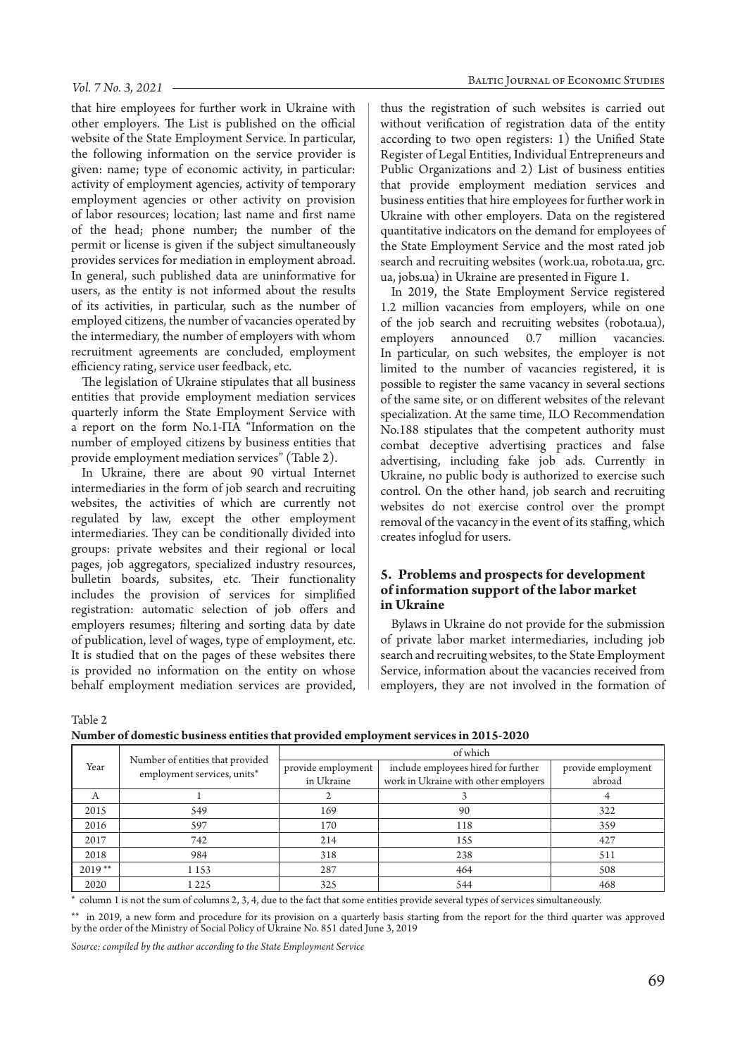#### *Vol. 7 No. 3, 2021*

that hire employees for further work in Ukraine with other employers. The List is published on the official website of the State Employment Service. In particular, the following information on the service provider is given: name; type of economic activity, in particular: activity of employment agencies, activity of temporary employment agencies or other activity on provision of labor resources; location; last name and first name of the head; phone number; the number of the permit or license is given if the subject simultaneously provides services for mediation in employment abroad. In general, such published data are uninformative for users, as the entity is not informed about the results of its activities, in particular, such as the number of employed citizens, the number of vacancies operated by the intermediary, the number of employers with whom recruitment agreements are concluded, employment efficiency rating, service user feedback, etc.

The legislation of Ukraine stipulates that all business entities that provide employment mediation services quarterly inform the State Employment Service with a report on the form No.1-ПА "Information on the number of employed citizens by business entities that provide employment mediation services" (Table 2).

In Ukraine, there are about 90 virtual Internet intermediaries in the form of job search and recruiting websites, the activities of which are currently not regulated by law, except the other employment intermediaries. They can be conditionally divided into groups: private websites and their regional or local pages, job aggregators, specialized industry resources, bulletin boards, subsites, etc. Their functionality includes the provision of services for simplified registration: automatic selection of job offers and employers resumes; filtering and sorting data by date of publication, level of wages, type of employment, etc. It is studied that on the pages of these websites there is provided no information on the entity on whose behalf employment mediation services are provided,

thus the registration of such websites is carried out without verification of registration data of the entity according to two open registers: 1) the Unified State Register of Legal Entities, Individual Entrepreneurs and Public Organizations and 2) List of business entities that provide employment mediation services and business entities that hire employees for further work in Ukraine with other employers. Data on the registered quantitative indicators on the demand for employees of the State Employment Service and the most rated job search and recruiting websites (work.ua, robota.ua, grc. ua, jobs.ua) in Ukraine are presented in Figure 1.

In 2019, the State Employment Service registered 1.2 million vacancies from employers, while on one of the job search and recruiting websites (robota.ua), employers announced 0.7 million vacancies. In particular, on such websites, the employer is not limited to the number of vacancies registered, it is possible to register the same vacancy in several sections of the same site, or on different websites of the relevant specialization. At the same time, ILO Recommendation No.188 stipulates that the competent authority must combat deceptive advertising practices and false advertising, including fake job ads. Currently in Ukraine, no public body is authorized to exercise such control. On the other hand, job search and recruiting websites do not exercise control over the prompt removal of the vacancy in the event of its staffing, which creates infoglud for users.

## **5. Problems and prospects for development of information support of the labor market in Ukraine**

Bylaws in Ukraine do not provide for the submission of private labor market intermediaries, including job search and recruiting websites, to the State Employment Service, information about the vacancies received from employers, they are not involved in the formation of

Table 2

**Number of domestic business entities that provided employment services in 2015-2020** 

| Year     |                                                                 | of which           |                                      |                    |  |  |  |  |  |
|----------|-----------------------------------------------------------------|--------------------|--------------------------------------|--------------------|--|--|--|--|--|
|          | Number of entities that provided<br>employment services, units* | provide employment | include employees hired for further  | provide employment |  |  |  |  |  |
|          |                                                                 | in Ukraine         | work in Ukraine with other employers | abroad             |  |  |  |  |  |
| А        |                                                                 |                    |                                      |                    |  |  |  |  |  |
| 2015     | 549                                                             | 169                | 90                                   | 322                |  |  |  |  |  |
| 2016     | 597                                                             | 170                | 118                                  | 359                |  |  |  |  |  |
| 2017     | 742                                                             | 214                | 155                                  | 427                |  |  |  |  |  |
| 2018     | 984                                                             | 318                | 238                                  | 511                |  |  |  |  |  |
| $2019**$ | 1 1 5 3                                                         | 287                | 464                                  | 508                |  |  |  |  |  |
| 2020     | 1 2 2 5                                                         | 325                | 544                                  | 468                |  |  |  |  |  |

\* column 1 is not the sum of columns 2, 3, 4, due to the fact that some entities provide several types of services simultaneously.

\*\* in 2019, a new form and procedure for its provision on a quarterly basis starting from the report for the third quarter was approved by the order of the Ministry of Social Policy of Ukraine No. 851 dated June 3, 2019

*Source: compiled by the author according to the State Employment Service*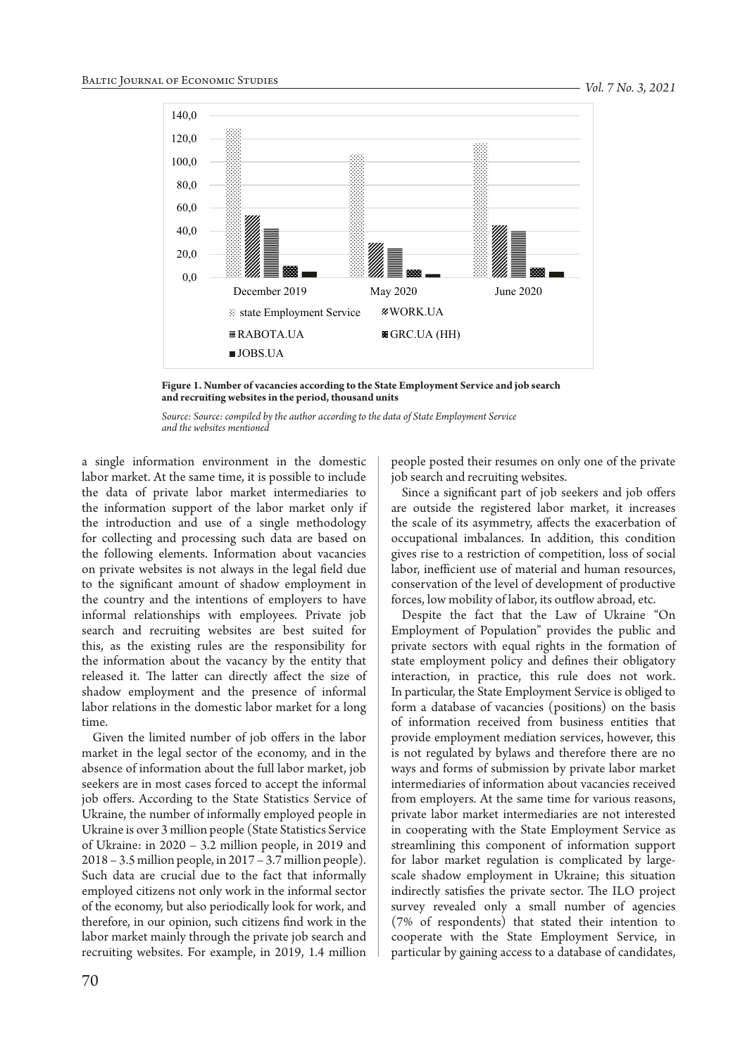

**Figure 1. Number of vacancies according to the State Employment Service and job search and recruiting websites in the period, thousand units**

*Source: Source: compiled by the author according to the data of State Employment Service and the websites mentioned*

a single information environment in the domestic labor market. At the same time, it is possible to include the data of private labor market intermediaries to the information support of the labor market only if the introduction and use of a single methodology for collecting and processing such data are based on the following elements. Information about vacancies on private websites is not always in the legal field due to the significant amount of shadow employment in the country and the intentions of employers to have informal relationships with employees. Private job search and recruiting websites are best suited for this, as the existing rules are the responsibility for the information about the vacancy by the entity that released it. The latter can directly affect the size of shadow employment and the presence of informal labor relations in the domestic labor market for a long time.

Given the limited number of job offers in the labor market in the legal sector of the economy, and in the absence of information about the full labor market, job seekers are in most cases forced to accept the informal job offers. According to the State Statistics Service of Ukraine, the number of informally employed people in Ukraine is over 3 million people (State Statistics Service of Ukraine: in 2020 – 3.2 million people, in 2019 and 2018 – 3.5 million people, in 2017 – 3.7 million people). Such data are crucial due to the fact that informally employed citizens not only work in the informal sector of the economy, but also periodically look for work, and therefore, in our opinion, such citizens find work in the labor market mainly through the private job search and recruiting websites. For example, in 2019, 1.4 million

people posted their resumes on only one of the private job search and recruiting websites.

Since a significant part of job seekers and job offers are outside the registered labor market, it increases the scale of its asymmetry, affects the exacerbation of occupational imbalances. In addition, this condition gives rise to a restriction of competition, loss of social labor, inefficient use of material and human resources, conservation of the level of development of productive forces, low mobility of labor, its outflow abroad, etc.

Despite the fact that the Law of Ukraine "On Employment of Population" provides the public and private sectors with equal rights in the formation of state employment policy and defines their obligatory interaction, in practice, this rule does not work. In particular, the State Employment Service is obliged to form a database of vacancies (positions) on the basis of information received from business entities that provide employment mediation services, however, this is not regulated by bylaws and therefore there are no ways and forms of submission by private labor market intermediaries of information about vacancies received from employers. At the same time for various reasons, private labor market intermediaries are not interested in cooperating with the State Employment Service as streamlining this component of information support for labor market regulation is complicated by largescale shadow employment in Ukraine; this situation indirectly satisfies the private sector. The ILO project survey revealed only a small number of agencies (7% of respondents) that stated their intention to cooperate with the State Employment Service, in particular by gaining access to a database of candidates,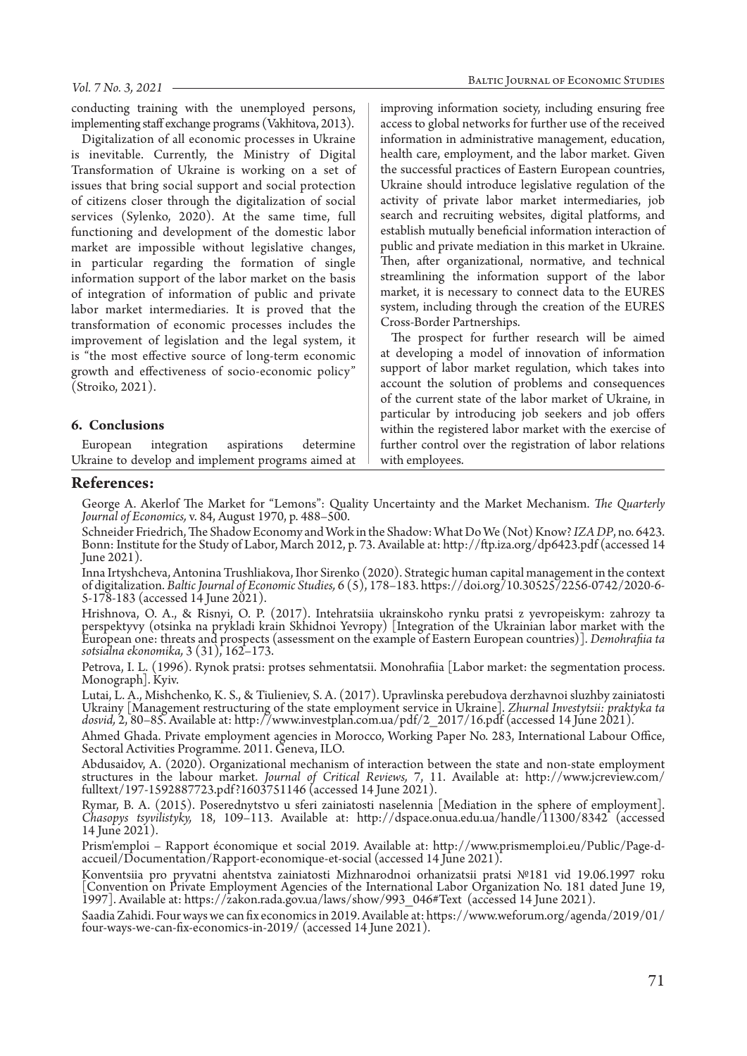conducting training with the unemployed persons, implementing staff exchange programs (Vakhitova, 2013).

Digitalization of all economic processes in Ukraine is inevitable. Currently, the Ministry of Digital Transformation of Ukraine is working on a set of issues that bring social support and social protection of citizens closer through the digitalization of social services (Sylenko, 2020). At the same time, full functioning and development of the domestic labor market are impossible without legislative changes, in particular regarding the formation of single information support of the labor market on the basis of integration of information of public and private labor market intermediaries. It is proved that the transformation of economic processes includes the improvement of legislation and the legal system, it is "the most effective source of long-term economic growth and effectiveness of socio-economic policy" (Stroiko, 2021).

#### **6. Conclusions**

European integration aspirations determine Ukraine to develop and implement programs aimed at improving information society, including ensuring free access to global networks for further use of the received information in administrative management, education, health care, employment, and the labor market. Given the successful practices of Eastern European countries, Ukraine should introduce legislative regulation of the activity of private labor market intermediaries, job search and recruiting websites, digital platforms, and establish mutually beneficial information interaction of public and private mediation in this market in Ukraine. Then, after organizational, normative, and technical streamlining the information support of the labor market, it is necessary to connect data to the EURES system, including through the creation of the EURES Cross-Border Partnerships.

The prospect for further research will be aimed at developing a model of innovation of information support of labor market regulation, which takes into account the solution of problems and consequences of the current state of the labor market of Ukraine, in particular by introducing job seekers and job offers within the registered labor market with the exercise of further control over the registration of labor relations with employees.

# **References:**

George A. Akerlof The Market for "Lemons": Quality Uncertainty and the Market Mechanism. *The Quarterly Journal of Economics,* v. 84, August 1970, p. 488–500.

Schneider Friedrich, The Shadow Economy and Work in the Shadow: What Do We (Not) Know? IZA DP, no. 6423.<br>Bonn: Institute for the Study of Labor, March 2012, p. 73. Available at: http://ftp.iza.org/dp6423.pdf (accessed 14 June 2021).

Inna Irtyshcheva, Antonina Trushliakova, Ihor Sirenko (2020). Strategic human capital management in the context of digitalization. *Baltic Journal of Economic Studies,* 6 (5), 178–183. https://doi.org/10.30525/2256-0742/2020-6- 5-178-183 (accessed 14 June 2021).

Hrishnova, O. A., & Risnyi, O. P. (2017). Intehratsiia ukrainskoho rynku pratsi z yevropeiskym: zahrozy ta perspektyvy (otsinka na prykladi krain Skhidnoi Yevropy) [Integration of the Ukrainian labor market with the European one: threats and prospects (assessment on the example of Eastern European countries)]. *Demohrafiia ta sotsialna ekonomika,* 3 (31), 162–173.

Petrova, I. L. (1996). Rynok pratsi: protses sehmentatsii. Monohrafiia [Labor market: the segmentation process. Monograph]. Kyiv.

Lutai, L. A., Mishchenko, K. S., & Tiulieniev, S. A. (2017). Upravlinska perebudova derzhavnoi sluzhby zainiatosti Ukrainy [Management restructuring of the state employment service in Ukraine]. *Zhurnal Investytsii: praktyka ta dosvid,* 2, 80–85. Available at: http://www.investplan.com.ua/pdf/2\_2017/16.pdf (accessed 14 June 2021).

Ahmed Ghada. Private employment agencies in Morocco, Working Paper No. 283, International Labour Office, Sectoral Activities Programme. 2011. Geneva, ILO.

Abdusaidov, A. (2020). Оrganizational mechanism of interaction between the state and non-state employment structures in the labour market. *Journal of Critical Reviews,* 7, 11. Available at: http://www.jcreview.com/ fulltext/197-1592887723.pdf?1603751146 (accessed 14 June 2021).

Rymar, B. A. (2015). Poserednytstvo u sferi zainiatosti naselennia [Mediation in the sphere of employment]. *Chasopys tsyvilistyky,* 18, 109–113. Available at: http://dspace.onua.edu.ua/handle/11300/8342 (accessed 14 June 2021).

Prism'emploi – Rapport économique et social 2019. Available at: http://www.prismemploi.eu/Public/Page-daccueil/Documentation/Rapport-economique-et-social (accessed 14 June 2021).

Konventsiia pro pryvatni ahentstva zainiatosti Mizhnarodnoi orhanizatsii pratsi №181 vid 19.06.1997 roku [Convention on Private Employment Agencies of the International Labor Organization No. 181 dated June 19, 1997]. Available at: https://zakon.rada.gov.ua/laws/show/993\_046#Text (accessed 14 June 2021).

Saadia Zahidi. Four ways we can fix economics in 2019. Available at: https://www.weforum.org/agenda/2019/01/ four-ways-we-can-fix-economics-in-2019/ (accessed 14 June 2021).